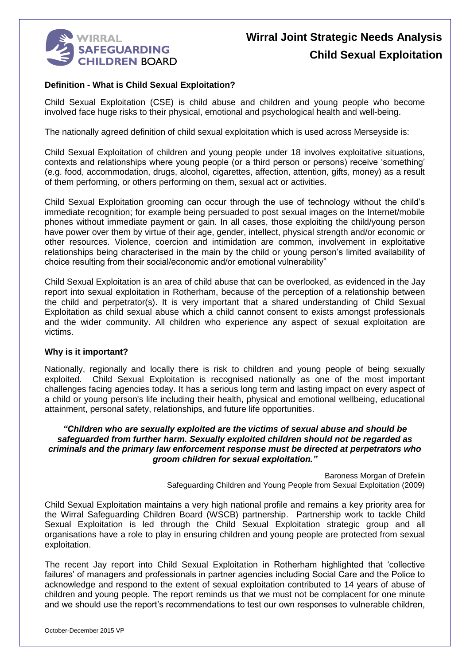

# **Wirral Joint Strategic Needs Analysis Child Sexual Exploitation**

#### **Definition - What is Child Sexual Exploitation?**

Child Sexual Exploitation (CSE) is child abuse and children and young people who become involved face huge risks to their physical, emotional and psychological health and well-being.

The nationally agreed definition of child sexual exploitation which is used across Merseyside is:

Child Sexual Exploitation of children and young people under 18 involves exploitative situations, contexts and relationships where young people (or a third person or persons) receive 'something' (e.g. food, accommodation, drugs, alcohol, cigarettes, affection, attention, gifts, money) as a result of them performing, or others performing on them, sexual act or activities.

Child Sexual Exploitation grooming can occur through the use of technology without the child's immediate recognition; for example being persuaded to post sexual images on the Internet/mobile phones without immediate payment or gain. In all cases, those exploiting the child/young person have power over them by virtue of their age, gender, intellect, physical strength and/or economic or other resources. Violence, coercion and intimidation are common, involvement in exploitative relationships being characterised in the main by the child or young person's limited availability of choice resulting from their social/economic and/or emotional vulnerability"

Child Sexual Exploitation is an area of child abuse that can be overlooked, as evidenced in the Jay report into sexual exploitation in Rotherham, because of the perception of a relationship between the child and perpetrator(s). It is very important that a shared understanding of Child Sexual Exploitation as child sexual abuse which a child cannot consent to exists amongst professionals and the wider community. All children who experience any aspect of sexual exploitation are victims.

#### **Why is it important?**

Nationally, regionally and locally there is risk to children and young people of being sexually exploited. Child Sexual Exploitation is recognised nationally as one of the most important challenges facing agencies today. It has a serious long term and lasting impact on every aspect of a child or young person's life including their health, physical and emotional wellbeing, educational attainment, personal safety, relationships, and future life opportunities.

#### *"Children who are sexually exploited are the victims of sexual abuse and should be safeguarded from further harm. Sexually exploited children should not be regarded as criminals and the primary law enforcement response must be directed at perpetrators who groom children for sexual exploitation."*

Baroness Morgan of Drefelin Safeguarding Children and Young People from Sexual Exploitation (2009)

Child Sexual Exploitation maintains a very high national profile and remains a key priority area for the Wirral Safeguarding Children Board (WSCB) partnership. Partnership work to tackle Child Sexual Exploitation is led through the Child Sexual Exploitation strategic group and all organisations have a role to play in ensuring children and young people are protected from sexual exploitation.

The recent Jay report into Child Sexual Exploitation in Rotherham highlighted that 'collective failures' of managers and professionals in partner agencies including Social Care and the Police to acknowledge and respond to the extent of sexual exploitation contributed to 14 years of abuse of children and young people. The report reminds us that we must not be complacent for one minute and we should use the report's recommendations to test our own responses to vulnerable children,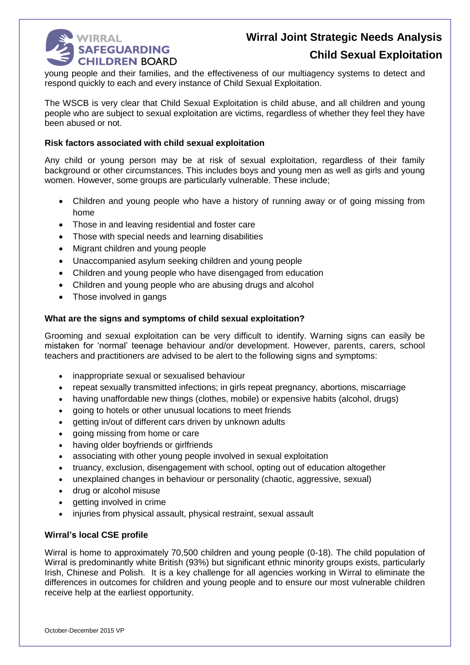

### **Child Sexual Exploitation**

young people and their families, and the effectiveness of our multiagency systems to detect and respond quickly to each and every instance of Child Sexual Exploitation.

The WSCB is very clear that Child Sexual Exploitation is child abuse, and all children and young people who are subject to sexual exploitation are victims, regardless of whether they feel they have been abused or not.

#### **Risk factors associated with child sexual exploitation**

Any child or young person may be at risk of sexual exploitation, regardless of their family background or other circumstances. This includes boys and young men as well as girls and young women. However, some groups are particularly vulnerable. These include;

- Children and young people who have a history of running away or of going missing from home
- Those in and leaving residential and foster care
- Those with special needs and learning disabilities
- Migrant children and young people
- Unaccompanied asylum seeking children and young people
- Children and young people who have disengaged from education
- Children and young people who are abusing drugs and alcohol
- Those involved in gangs

#### **What are the signs and symptoms of child sexual exploitation?**

Grooming and sexual exploitation can be very difficult to identify. Warning signs can easily be mistaken for 'normal' teenage behaviour and/or development. However, parents, carers, school teachers and practitioners are advised to be alert to the following signs and symptoms:

- inappropriate sexual or sexualised behaviour
- repeat sexually transmitted infections; in girls repeat pregnancy, abortions, miscarriage
- having unaffordable new things (clothes, mobile) or expensive habits (alcohol, drugs)
- going to hotels or other unusual locations to meet friends
- aetting in/out of different cars driven by unknown adults
- going missing from home or care
- having older boyfriends or girlfriends
- associating with other young people involved in sexual exploitation
- truancy, exclusion, disengagement with school, opting out of education altogether
- unexplained changes in behaviour or personality (chaotic, aggressive, sexual)
- drug or alcohol misuse
- getting involved in crime
- injuries from physical assault, physical restraint, sexual assault

#### **Wirral's local CSE profile**

Wirral is home to approximately 70,500 children and young people (0-18). The child population of Wirral is predominantly white British (93%) but significant ethnic minority groups exists, particularly Irish, Chinese and Polish. It is a key challenge for all agencies working in Wirral to eliminate the differences in outcomes for children and young people and to ensure our most vulnerable children receive help at the earliest opportunity.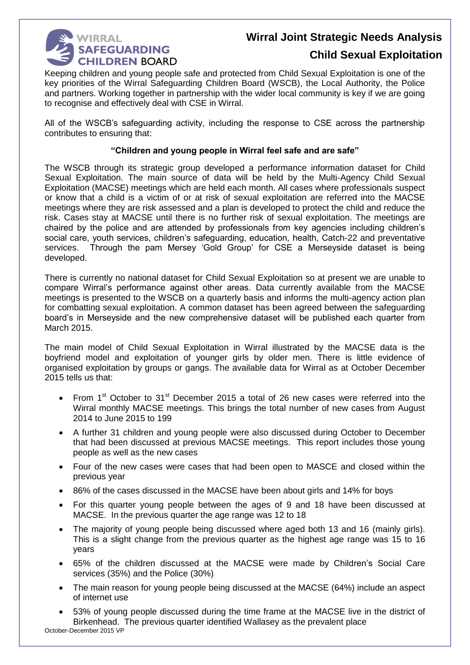

### **Child Sexual Exploitation**

Keeping children and young people safe and protected from Child Sexual Exploitation is one of the key priorities of the Wirral Safeguarding Children Board (WSCB), the Local Authority, the Police and partners. Working together in partnership with the wider local community is key if we are going to recognise and effectively deal with CSE in Wirral.

All of the WSCB's safeguarding activity, including the response to CSE across the partnership contributes to ensuring that:

#### **"Children and young people in Wirral feel safe and are safe"**

The WSCB through its strategic group developed a performance information dataset for Child Sexual Exploitation. The main source of data will be held by the Multi-Agency Child Sexual Exploitation (MACSE) meetings which are held each month. All cases where professionals suspect or know that a child is a victim of or at risk of sexual exploitation are referred into the MACSE meetings where they are risk assessed and a plan is developed to protect the child and reduce the risk. Cases stay at MACSE until there is no further risk of sexual exploitation. The meetings are chaired by the police and are attended by professionals from key agencies including children's social care, youth services, children's safeguarding, education, health, Catch-22 and preventative services. Through the pam Mersey 'Gold Group' for CSE a Merseyside dataset is being developed.

There is currently no national dataset for Child Sexual Exploitation so at present we are unable to compare Wirral's performance against other areas. Data currently available from the MACSE meetings is presented to the WSCB on a quarterly basis and informs the multi-agency action plan for combatting sexual exploitation. A common dataset has been agreed between the safeguarding board's in Merseyside and the new comprehensive dataset will be published each quarter from March 2015.

The main model of Child Sexual Exploitation in Wirral illustrated by the MACSE data is the boyfriend model and exploitation of younger girls by older men. There is little evidence of organised exploitation by groups or gangs. The available data for Wirral as at October December 2015 tells us that:

- From 1<sup>st</sup> October to 31<sup>st</sup> December 2015 a total of 26 new cases were referred into the Wirral monthly MACSE meetings. This brings the total number of new cases from August 2014 to June 2015 to 199
- A further 31 children and young people were also discussed during October to December that had been discussed at previous MACSE meetings. This report includes those young people as well as the new cases
- Four of the new cases were cases that had been open to MASCE and closed within the previous year
- 86% of the cases discussed in the MACSE have been about girls and 14% for boys
- For this quarter young people between the ages of 9 and 18 have been discussed at MACSE. In the previous quarter the age range was 12 to 18
- The majority of young people being discussed where aged both 13 and 16 (mainly girls). This is a slight change from the previous quarter as the highest age range was 15 to 16 years
- 65% of the children discussed at the MACSE were made by Children's Social Care services (35%) and the Police (30%)
- The main reason for young people being discussed at the MACSE (64%) include an aspect of internet use
- October-December 2015 VP 53% of young people discussed during the time frame at the MACSE live in the district of Birkenhead. The previous quarter identified Wallasey as the prevalent place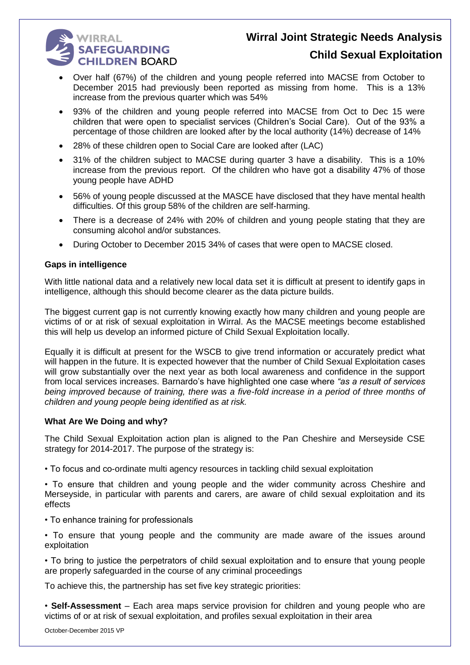# **WIRRAL SAFEGUARDING CHILDREN BOARD**

### **Child Sexual Exploitation**

- Over half (67%) of the children and young people referred into MACSE from October to December 2015 had previously been reported as missing from home. This is a 13% increase from the previous quarter which was 54%
- 93% of the children and young people referred into MACSE from Oct to Dec 15 were children that were open to specialist services (Children's Social Care). Out of the 93% a percentage of those children are looked after by the local authority (14%) decrease of 14%
- 28% of these children open to Social Care are looked after (LAC)
- 31% of the children subject to MACSE during quarter 3 have a disability. This is a 10% increase from the previous report. Of the children who have got a disability 47% of those young people have ADHD
- 56% of young people discussed at the MASCE have disclosed that they have mental health difficulties. Of this group 58% of the children are self-harming.
- There is a decrease of 24% with 20% of children and young people stating that they are consuming alcohol and/or substances.
- During October to December 2015 34% of cases that were open to MACSE closed.

#### **Gaps in intelligence**

With little national data and a relatively new local data set it is difficult at present to identify gaps in intelligence, although this should become clearer as the data picture builds.

The biggest current gap is not currently knowing exactly how many children and young people are victims of or at risk of sexual exploitation in Wirral. As the MACSE meetings become established this will help us develop an informed picture of Child Sexual Exploitation locally.

Equally it is difficult at present for the WSCB to give trend information or accurately predict what will happen in the future. It is expected however that the number of Child Sexual Exploitation cases will grow substantially over the next year as both local awareness and confidence in the support from local services increases. Barnardo's have highlighted one case where *"as a result of services being improved because of training, there was a five-fold increase in a period of three months of children and young people being identified as at risk.*

#### **What Are We Doing and why?**

The Child Sexual Exploitation action plan is aligned to the Pan Cheshire and Merseyside CSE strategy for 2014-2017. The purpose of the strategy is:

• To focus and co-ordinate multi agency resources in tackling child sexual exploitation

• To ensure that children and young people and the wider community across Cheshire and Merseyside, in particular with parents and carers, are aware of child sexual exploitation and its effects

- To enhance training for professionals
- To ensure that young people and the community are made aware of the issues around exploitation

• To bring to justice the perpetrators of child sexual exploitation and to ensure that young people are properly safeguarded in the course of any criminal proceedings

To achieve this, the partnership has set five key strategic priorities:

• **Self-Assessment** – Each area maps service provision for children and young people who are victims of or at risk of sexual exploitation, and profiles sexual exploitation in their area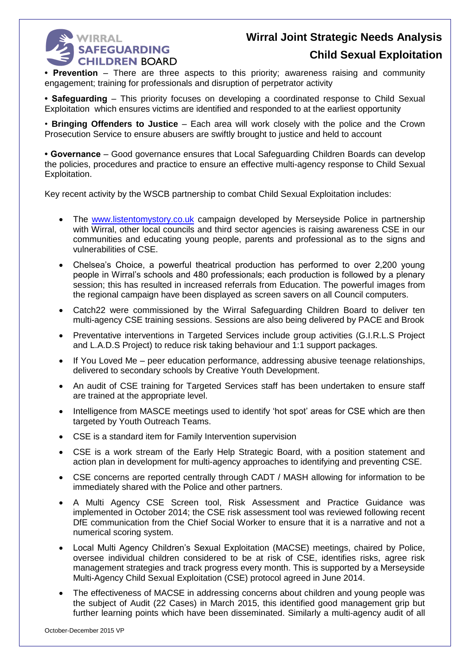

### **Child Sexual Exploitation**

**• Prevention** – There are three aspects to this priority; awareness raising and community engagement; training for professionals and disruption of perpetrator activity

**• Safeguarding** – This priority focuses on developing a coordinated response to Child Sexual Exploitation which ensures victims are identified and responded to at the earliest opportunity

• **Bringing Offenders to Justice** – Each area will work closely with the police and the Crown Prosecution Service to ensure abusers are swiftly brought to justice and held to account

**• Governance** – Good governance ensures that Local Safeguarding Children Boards can develop the policies, procedures and practice to ensure an effective multi-agency response to Child Sexual Exploitation.

Key recent activity by the WSCB partnership to combat Child Sexual Exploitation includes:

- The [www.listentomystory.co.uk](http://www.listentomystory.co.uk/) campaign developed by Merseyside Police in partnership with Wirral, other local councils and third sector agencies is raising awareness CSE in our communities and educating young people, parents and professional as to the signs and vulnerabilities of CSE.
- Chelsea's Choice, a powerful theatrical production has performed to over 2,200 young people in Wirral's schools and 480 professionals; each production is followed by a plenary session; this has resulted in increased referrals from Education. The powerful images from the regional campaign have been displayed as screen savers on all Council computers.
- Catch22 were commissioned by the Wirral Safeguarding Children Board to deliver ten multi-agency CSE training sessions. Sessions are also being delivered by PACE and Brook
- Preventative interventions in Targeted Services include group activities (G.I.R.L.S Project and L.A.D.S Project) to reduce risk taking behaviour and 1:1 support packages.
- If You Loved Me peer education performance, addressing abusive teenage relationships, delivered to secondary schools by Creative Youth Development.
- An audit of CSE training for Targeted Services staff has been undertaken to ensure staff are trained at the appropriate level.
- Intelligence from MASCE meetings used to identify 'hot spot' areas for CSE which are then targeted by Youth Outreach Teams.
- CSE is a standard item for Family Intervention supervision
- CSE is a work stream of the Early Help Strategic Board, with a position statement and action plan in development for multi-agency approaches to identifying and preventing CSE.
- CSE concerns are reported centrally through CADT / MASH allowing for information to be immediately shared with the Police and other partners.
- A Multi Agency CSE Screen tool, Risk Assessment and Practice Guidance was implemented in October 2014; the CSE risk assessment tool was reviewed following recent DfE communication from the Chief Social Worker to ensure that it is a narrative and not a numerical scoring system.
- Local Multi Agency Children's Sexual Exploitation (MACSE) meetings, chaired by Police, oversee individual children considered to be at risk of CSE, identifies risks, agree risk management strategies and track progress every month. This is supported by a Merseyside Multi-Agency Child Sexual Exploitation (CSE) protocol agreed in June 2014.
- The effectiveness of MACSE in addressing concerns about children and young people was the subject of Audit (22 Cases) in March 2015, this identified good management grip but further learning points which have been disseminated. Similarly a multi-agency audit of all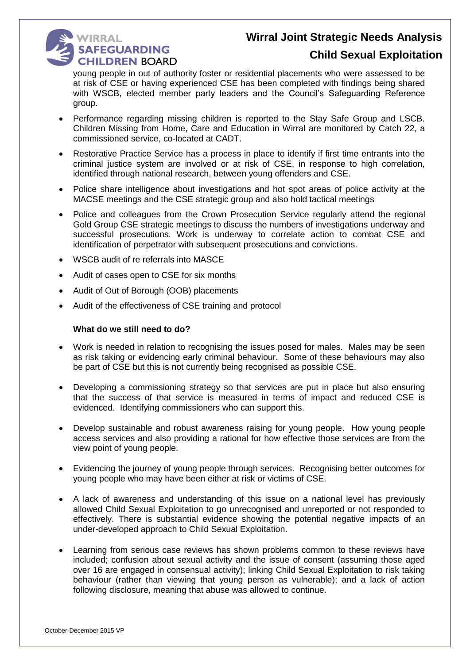

### **Child Sexual Exploitation**

young people in out of authority foster or residential placements who were assessed to be at risk of CSE or having experienced CSE has been completed with findings being shared with WSCB, elected member party leaders and the Council's Safeguarding Reference group.

- Performance regarding missing children is reported to the Stay Safe Group and LSCB. Children Missing from Home, Care and Education in Wirral are monitored by Catch 22, a commissioned service, co-located at CADT.
- Restorative Practice Service has a process in place to identify if first time entrants into the criminal justice system are involved or at risk of CSE, in response to high correlation, identified through national research, between young offenders and CSE.
- Police share intelligence about investigations and hot spot areas of police activity at the MACSE meetings and the CSE strategic group and also hold tactical meetings
- Police and colleagues from the Crown Prosecution Service regularly attend the regional Gold Group CSE strategic meetings to discuss the numbers of investigations underway and successful prosecutions. Work is underway to correlate action to combat CSE and identification of perpetrator with subsequent prosecutions and convictions.
- WSCB audit of re referrals into MASCE
- Audit of cases open to CSE for six months
- Audit of Out of Borough (OOB) placements
- Audit of the effectiveness of CSE training and protocol

#### **What do we still need to do?**

- Work is needed in relation to recognising the issues posed for males. Males may be seen as risk taking or evidencing early criminal behaviour. Some of these behaviours may also be part of CSE but this is not currently being recognised as possible CSE.
- Developing a commissioning strategy so that services are put in place but also ensuring that the success of that service is measured in terms of impact and reduced CSE is evidenced. Identifying commissioners who can support this.
- Develop sustainable and robust awareness raising for young people. How young people access services and also providing a rational for how effective those services are from the view point of young people.
- Evidencing the journey of young people through services. Recognising better outcomes for young people who may have been either at risk or victims of CSE.
- A lack of awareness and understanding of this issue on a national level has previously allowed Child Sexual Exploitation to go unrecognised and unreported or not responded to effectively. There is substantial evidence showing the potential negative impacts of an under-developed approach to Child Sexual Exploitation.
- Learning from serious case reviews has shown problems common to these reviews have included; confusion about sexual activity and the issue of consent (assuming those aged over 16 are engaged in consensual activity); linking Child Sexual Exploitation to risk taking behaviour (rather than viewing that young person as vulnerable); and a lack of action following disclosure, meaning that abuse was allowed to continue.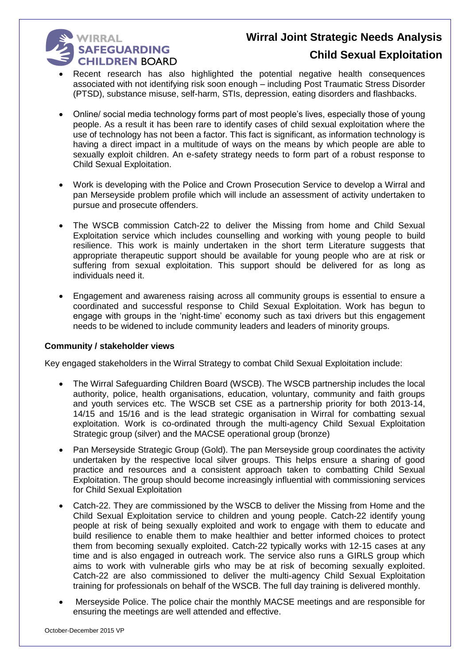# **WIRRAL** SAFEGUARDING **CHILDREN BOARD**

### **Child Sexual Exploitation**

- Recent research has also highlighted the potential negative health consequences associated with not identifying risk soon enough – including Post Traumatic Stress Disorder (PTSD), substance misuse, self-harm, STIs, depression, eating disorders and flashbacks.
- Online/ social media technology forms part of most people's lives, especially those of young people. As a result it has been rare to identify cases of child sexual exploitation where the use of technology has not been a factor. This fact is significant, as information technology is having a direct impact in a multitude of ways on the means by which people are able to sexually exploit children. An e-safety strategy needs to form part of a robust response to Child Sexual Exploitation.
- Work is developing with the Police and Crown Prosecution Service to develop a Wirral and pan Merseyside problem profile which will include an assessment of activity undertaken to pursue and prosecute offenders.
- The WSCB commission Catch-22 to deliver the Missing from home and Child Sexual Exploitation service which includes counselling and working with young people to build resilience. This work is mainly undertaken in the short term Literature suggests that appropriate therapeutic support should be available for young people who are at risk or suffering from sexual exploitation. This support should be delivered for as long as individuals need it.
- Engagement and awareness raising across all community groups is essential to ensure a coordinated and successful response to Child Sexual Exploitation. Work has begun to engage with groups in the 'night-time' economy such as taxi drivers but this engagement needs to be widened to include community leaders and leaders of minority groups.

#### **Community / stakeholder views**

Key engaged stakeholders in the Wirral Strategy to combat Child Sexual Exploitation include:

- The Wirral Safeguarding Children Board (WSCB). The WSCB partnership includes the local authority, police, health organisations, education, voluntary, community and faith groups and youth services etc. The WSCB set CSE as a partnership priority for both 2013-14, 14/15 and 15/16 and is the lead strategic organisation in Wirral for combatting sexual exploitation. Work is co-ordinated through the multi-agency Child Sexual Exploitation Strategic group (silver) and the MACSE operational group (bronze)
- Pan Merseyside Strategic Group (Gold). The pan Merseyside group coordinates the activity undertaken by the respective local silver groups. This helps ensure a sharing of good practice and resources and a consistent approach taken to combatting Child Sexual Exploitation. The group should become increasingly influential with commissioning services for Child Sexual Exploitation
- Catch-22. They are commissioned by the WSCB to deliver the Missing from Home and the Child Sexual Exploitation service to children and young people. Catch-22 identify young people at risk of being sexually exploited and work to engage with them to educate and build resilience to enable them to make healthier and better informed choices to protect them from becoming sexually exploited. Catch-22 typically works with 12-15 cases at any time and is also engaged in outreach work. The service also runs a GIRLS group which aims to work with vulnerable girls who may be at risk of becoming sexually exploited. Catch-22 are also commissioned to deliver the multi-agency Child Sexual Exploitation training for professionals on behalf of the WSCB. The full day training is delivered monthly.
- Merseyside Police. The police chair the monthly MACSE meetings and are responsible for ensuring the meetings are well attended and effective.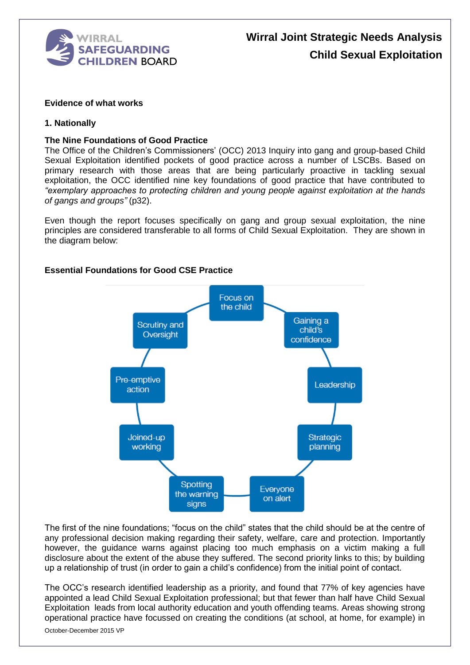

#### **Evidence of what works**

#### **1. Nationally**

#### **The Nine Foundations of Good Practice**

The Office of the Children's Commissioners' (OCC) 2013 Inquiry into gang and group-based Child Sexual Exploitation identified pockets of good practice across a number of LSCBs. Based on primary research with those areas that are being particularly proactive in tackling sexual exploitation, the OCC identified nine key foundations of good practice that have contributed to *"exemplary approaches to protecting children and young people against exploitation at the hands of gangs and groups"* (p32).

Even though the report focuses specifically on gang and group sexual exploitation, the nine principles are considered transferable to all forms of Child Sexual Exploitation. They are shown in the diagram below:

#### **Essential Foundations for Good CSE Practice**



The first of the nine foundations; "focus on the child" states that the child should be at the centre of any professional decision making regarding their safety, welfare, care and protection. Importantly however, the guidance warns against placing too much emphasis on a victim making a full disclosure about the extent of the abuse they suffered. The second priority links to this; by building up a relationship of trust (in order to gain a child's confidence) from the initial point of contact.

The OCC's research identified leadership as a priority, and found that 77% of key agencies have appointed a lead Child Sexual Exploitation professional; but that fewer than half have Child Sexual Exploitation leads from local authority education and youth offending teams. Areas showing strong operational practice have focussed on creating the conditions (at school, at home, for example) in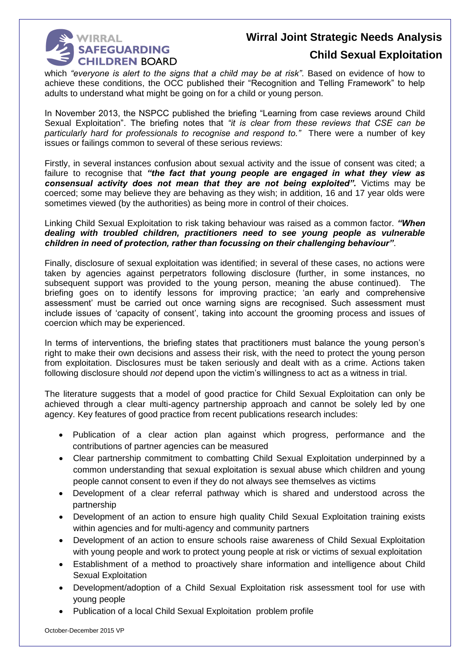

### **Child Sexual Exploitation**

which *"everyone is alert to the signs that a child may be at risk"*. Based on evidence of how to achieve these conditions, the OCC published their "Recognition and Telling Framework" to help adults to understand what might be going on for a child or young person.

In November 2013, the NSPCC published the briefing "Learning from case reviews around Child Sexual Exploitation". The briefing notes that *"it is clear from these reviews that CSE can be particularly hard for professionals to recognise and respond to."* There were a number of key issues or failings common to several of these serious reviews:

Firstly, in several instances confusion about sexual activity and the issue of consent was cited; a failure to recognise that *"the fact that young people are engaged in what they view as consensual activity does not mean that they are not being exploited".* Victims may be coerced; some may believe they are behaving as they wish; in addition, 16 and 17 year olds were sometimes viewed (by the authorities) as being more in control of their choices.

Linking Child Sexual Exploitation to risk taking behaviour was raised as a common factor. *"When dealing with troubled children, practitioners need to see young people as vulnerable children in need of protection, rather than focussing on their challenging behaviour"*.

Finally, disclosure of sexual exploitation was identified; in several of these cases, no actions were taken by agencies against perpetrators following disclosure (further, in some instances, no subsequent support was provided to the young person, meaning the abuse continued). The briefing goes on to identify lessons for improving practice; 'an early and comprehensive assessment' must be carried out once warning signs are recognised. Such assessment must include issues of 'capacity of consent', taking into account the grooming process and issues of coercion which may be experienced.

In terms of interventions, the briefing states that practitioners must balance the young person's right to make their own decisions and assess their risk, with the need to protect the young person from exploitation. Disclosures must be taken seriously and dealt with as a crime. Actions taken following disclosure should *not* depend upon the victim's willingness to act as a witness in trial.

The literature suggests that a model of good practice for Child Sexual Exploitation can only be achieved through a clear multi-agency partnership approach and cannot be solely led by one agency. Key features of good practice from recent publications research includes:

- Publication of a clear action plan against which progress, performance and the contributions of partner agencies can be measured
- Clear partnership commitment to combatting Child Sexual Exploitation underpinned by a common understanding that sexual exploitation is sexual abuse which children and young people cannot consent to even if they do not always see themselves as victims
- Development of a clear referral pathway which is shared and understood across the partnership
- Development of an action to ensure high quality Child Sexual Exploitation training exists within agencies and for multi-agency and community partners
- Development of an action to ensure schools raise awareness of Child Sexual Exploitation with young people and work to protect young people at risk or victims of sexual exploitation
- Establishment of a method to proactively share information and intelligence about Child Sexual Exploitation
- Development/adoption of a Child Sexual Exploitation risk assessment tool for use with young people
- Publication of a local Child Sexual Exploitation problem profile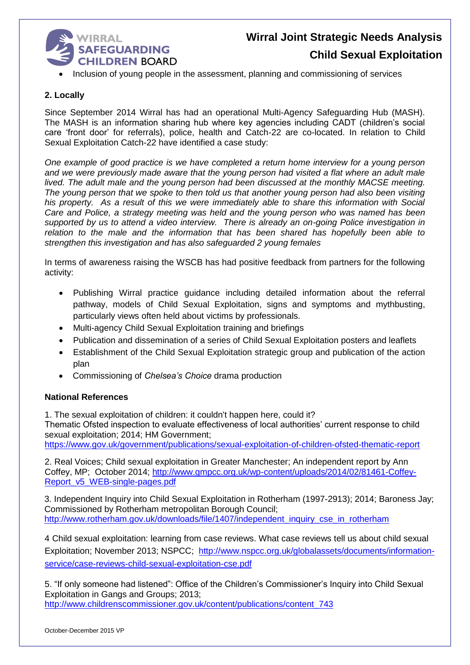

# **Wirral Joint Strategic Needs Analysis Child Sexual Exploitation**

• Inclusion of young people in the assessment, planning and commissioning of services

#### **2. Locally**

Since September 2014 Wirral has had an operational Multi-Agency Safeguarding Hub (MASH). The MASH is an information sharing hub where key agencies including CADT (children's social care 'front door' for referrals), police, health and Catch-22 are co-located. In relation to Child Sexual Exploitation Catch-22 have identified a case study:

*One example of good practice is we have completed a return home interview for a young person and we were previously made aware that the young person had visited a flat where an adult male lived. The adult male and the young person had been discussed at the monthly MACSE meeting. The young person that we spoke to then told us that another young person had also been visiting his property. As a result of this we were immediately able to share this information with Social Care and Police, a strategy meeting was held and the young person who was named has been supported by us to attend a video interview. There is already an on-going Police investigation in relation to the male and the information that has been shared has hopefully been able to strengthen this investigation and has also safeguarded 2 young females*

In terms of awareness raising the WSCB has had positive feedback from partners for the following activity:

- Publishing Wirral practice guidance including detailed information about the referral pathway, models of Child Sexual Exploitation, signs and symptoms and mythbusting, particularly views often held about victims by professionals.
- Multi-agency Child Sexual Exploitation training and briefings
- Publication and dissemination of a series of Child Sexual Exploitation posters and leaflets
- Establishment of the Child Sexual Exploitation strategic group and publication of the action plan
- Commissioning of *Chelsea's Choice* drama production

#### **National References**

1. The sexual exploitation of children: it couldn't happen here, could it?

Thematic Ofsted inspection to evaluate effectiveness of local authorities' current response to child sexual exploitation; 2014; HM Government;

<https://www.gov.uk/government/publications/sexual-exploitation-of-children-ofsted-thematic-report>

2. Real Voices; Child sexual exploitation in Greater Manchester; An independent report by Ann Coffey, MP; October 2014; [http://www.gmpcc.org.uk/wp-content/uploads/2014/02/81461-Coffey-](http://www.gmpcc.org.uk/wp-content/uploads/2014/02/81461-Coffey-Report_v5_WEB-single-pages.pdf)[Report\\_v5\\_WEB-single-pages.pdf](http://www.gmpcc.org.uk/wp-content/uploads/2014/02/81461-Coffey-Report_v5_WEB-single-pages.pdf)

3. Independent Inquiry into Child Sexual Exploitation in Rotherham (1997-2913); 2014; Baroness Jay; Commissioned by Rotherham metropolitan Borough Council; [http://www.rotherham.gov.uk/downloads/file/1407/independent\\_inquiry\\_cse\\_in\\_rotherham](http://www.rotherham.gov.uk/downloads/file/1407/independent_inquiry_cse_in_rotherham)

4 Child sexual exploitation: learning from case reviews. What case reviews tell us about child sexual Exploitation; November 2013; NSPCC; [http://www.nspcc.org.uk/globalassets/documents/information](http://www.nspcc.org.uk/globalassets/documents/information-service/case-reviews-child-sexual-exploitation-cse.pdf)[service/case-reviews-child-sexual-exploitation-cse.pdf](http://www.nspcc.org.uk/globalassets/documents/information-service/case-reviews-child-sexual-exploitation-cse.pdf)

5. "If only someone had listened": Office of the Children's Commissioner's Inquiry into Child Sexual Exploitation in Gangs and Groups; 2013; [http://www.childrenscommissioner.gov.uk/content/publications/content\\_743](http://www.childrenscommissioner.gov.uk/content/publications/content_743)